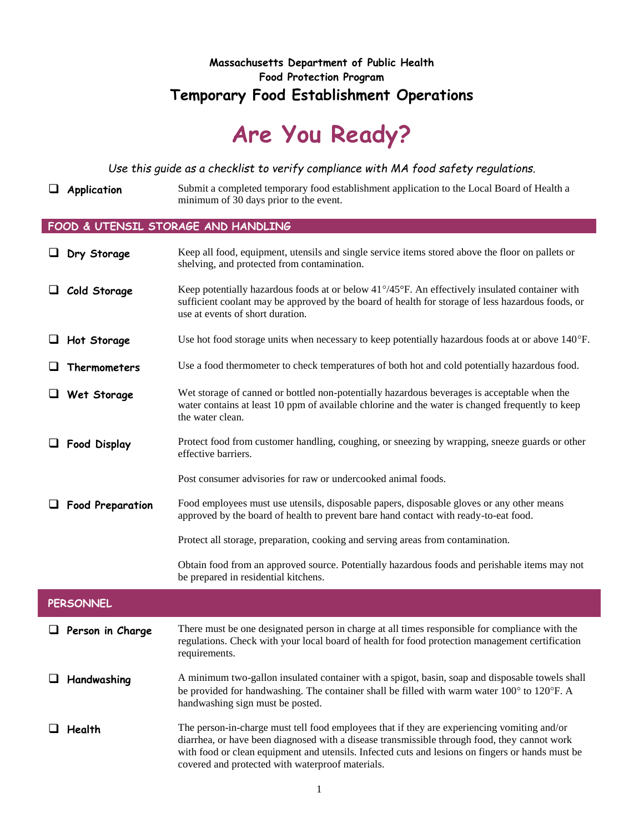## **Massachusetts Department of Public Health Food Protection Program Temporary Food Establishment Operations**

# **Are You Ready?**

*Use this guide as a checklist to verify compliance with MA food safety regulations.*

**Application** Submit a completed temporary food establishment application to the Local Board of Health a minimum of 30 days prior to the event.

## **FOOD & UTENSIL STORAGE AND HANDLING**

|   | $\Box$ Dry Storage      | Keep all food, equipment, utensils and single service items stored above the floor on pallets or<br>shelving, and protected from contamination.                                                                                                                                                                                                     |
|---|-------------------------|-----------------------------------------------------------------------------------------------------------------------------------------------------------------------------------------------------------------------------------------------------------------------------------------------------------------------------------------------------|
|   | Cold Storage            | Keep potentially hazardous foods at or below 41°/45°F. An effectively insulated container with<br>sufficient coolant may be approved by the board of health for storage of less hazardous foods, or<br>use at events of short duration.                                                                                                             |
| ⊔ | Hot Storage             | Use hot food storage units when necessary to keep potentially hazardous foods at or above $140^{\circ}$ F.                                                                                                                                                                                                                                          |
|   | Thermometers            | Use a food thermometer to check temperatures of both hot and cold potentially hazardous food.                                                                                                                                                                                                                                                       |
| ⊔ | Wet Storage             | Wet storage of canned or bottled non-potentially hazardous beverages is acceptable when the<br>water contains at least 10 ppm of available chlorine and the water is changed frequently to keep<br>the water clean.                                                                                                                                 |
|   | <b>Food Display</b>     | Protect food from customer handling, coughing, or sneezing by wrapping, sneeze guards or other<br>effective barriers.                                                                                                                                                                                                                               |
|   |                         | Post consumer advisories for raw or undercooked animal foods.                                                                                                                                                                                                                                                                                       |
|   | <b>Food Preparation</b> | Food employees must use utensils, disposable papers, disposable gloves or any other means<br>approved by the board of health to prevent bare hand contact with ready-to-eat food.                                                                                                                                                                   |
|   |                         | Protect all storage, preparation, cooking and serving areas from contamination.                                                                                                                                                                                                                                                                     |
|   |                         | Obtain food from an approved source. Potentially hazardous foods and perishable items may not<br>be prepared in residential kitchens.                                                                                                                                                                                                               |
|   | <b>PERSONNEL</b>        |                                                                                                                                                                                                                                                                                                                                                     |
|   | Person in Charge        | There must be one designated person in charge at all times responsible for compliance with the<br>regulations. Check with your local board of health for food protection management certification<br>requirements.                                                                                                                                  |
|   | Handwashing             | A minimum two-gallon insulated container with a spigot, basin, soap and disposable towels shall<br>be provided for handwashing. The container shall be filled with warm water 100° to 120°F. A<br>handwashing sign must be posted.                                                                                                                  |
|   | Health                  | The person-in-charge must tell food employees that if they are experiencing vomiting and/or<br>diarrhea, or have been diagnosed with a disease transmissible through food, they cannot work<br>with food or clean equipment and utensils. Infected cuts and lesions on fingers or hands must be<br>covered and protected with waterproof materials. |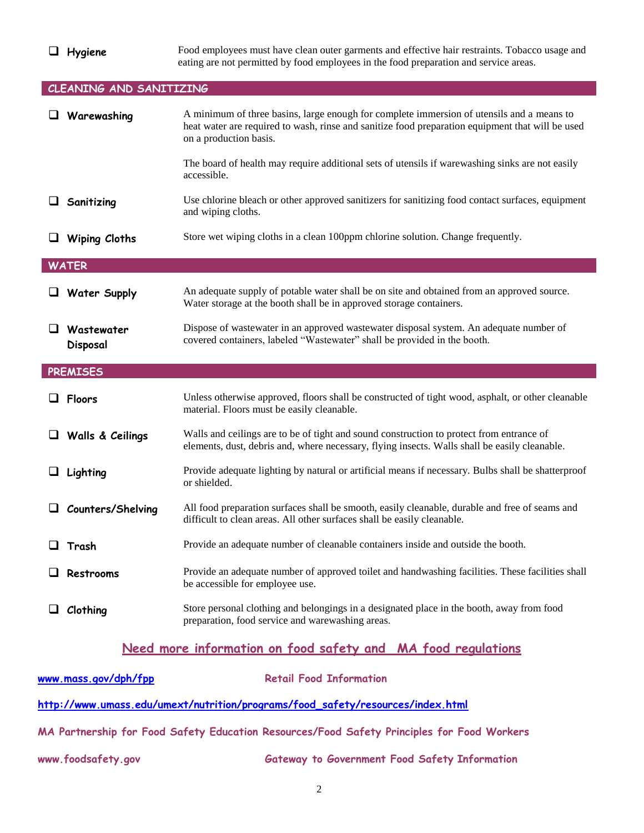|  | Hygiene |  |
|--|---------|--|

**Hygiene** Food employees must have clean outer garments and effective hair restraints. Tobacco usage and eating are not permitted by food employees in the food preparation and service areas.

## **CLEANING AND SANITIZING**

| ❏<br>Warewashing                                             | A minimum of three basins, large enough for complete immersion of utensils and a means to<br>heat water are required to wash, rinse and sanitize food preparation equipment that will be used<br>on a production basis. |  |  |  |  |  |  |  |
|--------------------------------------------------------------|-------------------------------------------------------------------------------------------------------------------------------------------------------------------------------------------------------------------------|--|--|--|--|--|--|--|
|                                                              | The board of health may require additional sets of utensils if warewashing sinks are not easily<br>accessible.                                                                                                          |  |  |  |  |  |  |  |
| Sanitizing                                                   | Use chlorine bleach or other approved sanitizers for sanitizing food contact surfaces, equipment<br>and wiping cloths.                                                                                                  |  |  |  |  |  |  |  |
| <b>Wiping Cloths</b>                                         | Store wet wiping cloths in a clean 100ppm chlorine solution. Change frequently.                                                                                                                                         |  |  |  |  |  |  |  |
| <b>WATER</b>                                                 |                                                                                                                                                                                                                         |  |  |  |  |  |  |  |
| <b>Water Supply</b><br>⊔                                     | An adequate supply of potable water shall be on site and obtained from an approved source.<br>Water storage at the booth shall be in approved storage containers.                                                       |  |  |  |  |  |  |  |
| Wastewater<br>Disposal                                       | Dispose of wastewater in an approved wastewater disposal system. An adequate number of<br>covered containers, labeled "Wastewater" shall be provided in the booth.                                                      |  |  |  |  |  |  |  |
| <b>PREMISES</b>                                              |                                                                                                                                                                                                                         |  |  |  |  |  |  |  |
| <b>Floors</b>                                                | Unless otherwise approved, floors shall be constructed of tight wood, asphalt, or other cleanable<br>material. Floors must be easily cleanable.                                                                         |  |  |  |  |  |  |  |
| Walls & Ceilings<br>⊔                                        | Walls and ceilings are to be of tight and sound construction to protect from entrance of<br>elements, dust, debris and, where necessary, flying insects. Walls shall be easily cleanable.                               |  |  |  |  |  |  |  |
| Lighting                                                     | Provide adequate lighting by natural or artificial means if necessary. Bulbs shall be shatterproof<br>or shielded.                                                                                                      |  |  |  |  |  |  |  |
| Counters/Shelving                                            | All food preparation surfaces shall be smooth, easily cleanable, durable and free of seams and<br>difficult to clean areas. All other surfaces shall be easily cleanable.                                               |  |  |  |  |  |  |  |
| Trash                                                        | Provide an adequate number of cleanable containers inside and outside the booth.                                                                                                                                        |  |  |  |  |  |  |  |
| Restrooms                                                    | Provide an adequate number of approved toilet and handwashing facilities. These facilities shall<br>be accessible for employee use.                                                                                     |  |  |  |  |  |  |  |
| Clothing                                                     | Store personal clothing and belongings in a designated place in the booth, away from food<br>preparation, food service and warewashing areas.                                                                           |  |  |  |  |  |  |  |
| Need more information on food safety and MA food reaulations |                                                                                                                                                                                                                         |  |  |  |  |  |  |  |
|                                                              |                                                                                                                                                                                                                         |  |  |  |  |  |  |  |
| <u>www.mass.gov/dph/fpp</u>                                  | <b>Retail Food Information</b>                                                                                                                                                                                          |  |  |  |  |  |  |  |
|                                                              | http://www.umass.edu/umext/nutrition/programs/food_safety/resources/index.html                                                                                                                                          |  |  |  |  |  |  |  |

**[www.foodsafety.gov](http://www.foodsafety.gov/) Gateway to Government Food Safety Information**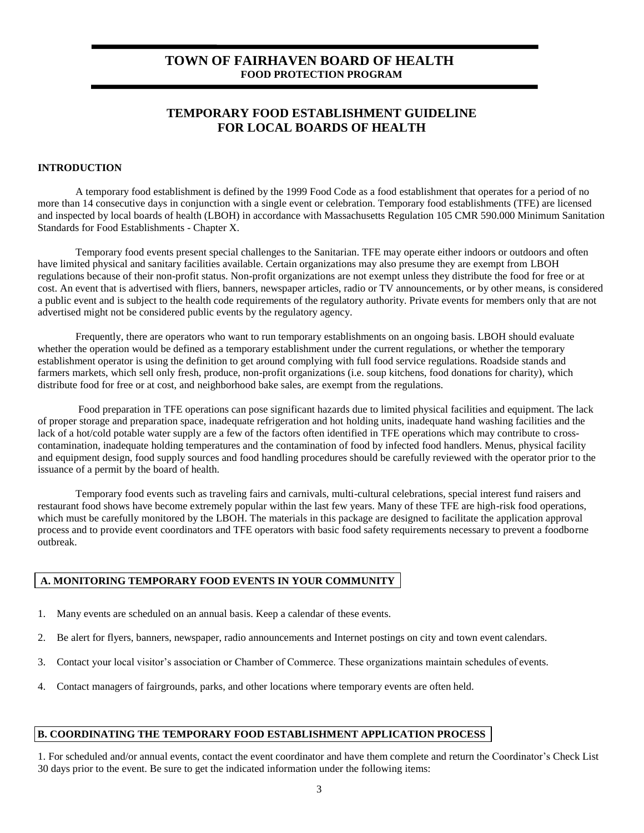## **TOWN OF FAIRHAVEN BOARD OF HEALTH FOOD PROTECTION PROGRAM**

## **TEMPORARY FOOD ESTABLISHMENT GUIDELINE FOR LOCAL BOARDS OF HEALTH**

## **INTRODUCTION**

A temporary food establishment is defined by the 1999 Food Code as a food establishment that operates for a period of no more than 14 consecutive days in conjunction with a single event or celebration. Temporary food establishments (TFE) are licensed and inspected by local boards of health (LBOH) in accordance with Massachusetts Regulation 105 CMR 590.000 Minimum Sanitation Standards for Food Establishments - Chapter X.

Temporary food events present special challenges to the Sanitarian. TFE may operate either indoors or outdoors and often have limited physical and sanitary facilities available. Certain organizations may also presume they are exempt from LBOH regulations because of their non-profit status. Non-profit organizations are not exempt unless they distribute the food for free or at cost. An event that is advertised with fliers, banners, newspaper articles, radio or TV announcements, or by other means, is considered a public event and is subject to the health code requirements of the regulatory authority. Private events for members only that are not advertised might not be considered public events by the regulatory agency.

Frequently, there are operators who want to run temporary establishments on an ongoing basis. LBOH should evaluate whether the operation would be defined as a temporary establishment under the current regulations, or whether the temporary establishment operator is using the definition to get around complying with full food service regulations. Roadside stands and farmers markets, which sell only fresh, produce, non-profit organizations (i.e. soup kitchens, food donations for charity), which distribute food for free or at cost, and neighborhood bake sales, are exempt from the regulations.

Food preparation in TFE operations can pose significant hazards due to limited physical facilities and equipment. The lack of proper storage and preparation space, inadequate refrigeration and hot holding units, inadequate hand washing facilities and the lack of a hot/cold potable water supply are a few of the factors often identified in TFE operations which may contribute to crosscontamination, inadequate holding temperatures and the contamination of food by infected food handlers. Menus, physical facility and equipment design, food supply sources and food handling procedures should be carefully reviewed with the operator prior to the issuance of a permit by the board of health.

Temporary food events such as traveling fairs and carnivals, multi-cultural celebrations, special interest fund raisers and restaurant food shows have become extremely popular within the last few years. Many of these TFE are high-risk food operations, which must be carefully monitored by the LBOH. The materials in this package are designed to facilitate the application approval process and to provide event coordinators and TFE operators with basic food safety requirements necessary to prevent a foodborne outbreak.

## **A. MONITORING TEMPORARY FOOD EVENTS IN YOUR COMMUNITY**

- 1. Many events are scheduled on an annual basis. Keep a calendar of these events.
- 2. Be alert for flyers, banners, newspaper, radio announcements and Internet postings on city and town event calendars.
- 3. Contact your local visitor's association or Chamber of Commerce. These organizations maintain schedules of events.
- 4. Contact managers of fairgrounds, parks, and other locations where temporary events are often held.

## **B. COORDINATING THE TEMPORARY FOOD ESTABLISHMENT APPLICATION PROCESS**

1. For scheduled and/or annual events, contact the event coordinator and have them complete and return the Coordinator's Check List 30 days prior to the event. Be sure to get the indicated information under the following items: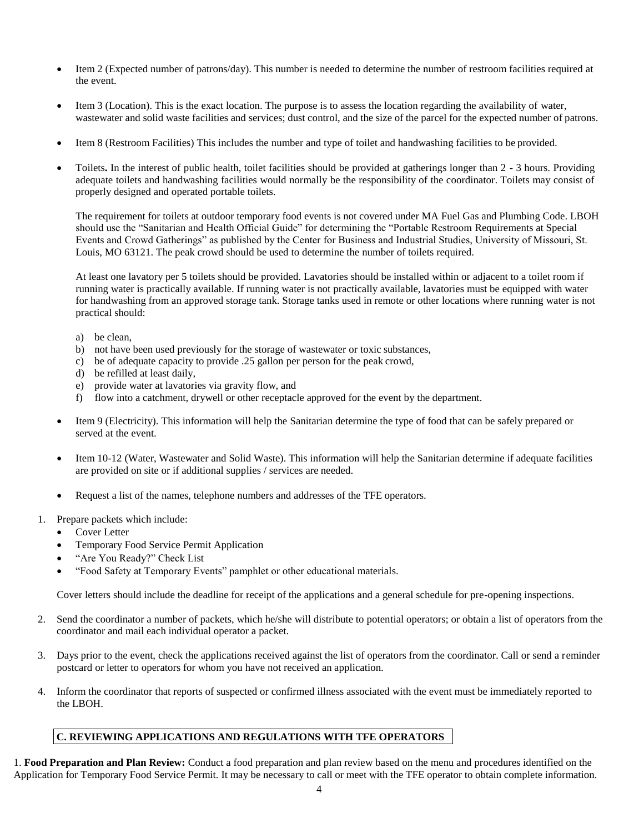- Item 2 (Expected number of patrons/day). This number is needed to determine the number of restroom facilities required at the event.
- Item 3 (Location). This is the exact location. The purpose is to assess the location regarding the availability of water, wastewater and solid waste facilities and services; dust control, and the size of the parcel for the expected number of patrons.
- Item 8 (Restroom Facilities) This includes the number and type of toilet and handwashing facilities to be provided.
- Toilets**.** In the interest of public health, toilet facilities should be provided at gatherings longer than 2 3 hours. Providing adequate toilets and handwashing facilities would normally be the responsibility of the coordinator. Toilets may consist of properly designed and operated portable toilets.

The requirement for toilets at outdoor temporary food events is not covered under MA Fuel Gas and Plumbing Code. LBOH should use the "Sanitarian and Health Official Guide" for determining the "Portable Restroom Requirements at Special Events and Crowd Gatherings" as published by the Center for Business and Industrial Studies, University of Missouri, St. Louis, MO 63121. The peak crowd should be used to determine the number of toilets required.

At least one lavatory per 5 toilets should be provided. Lavatories should be installed within or adjacent to a toilet room if running water is practically available. If running water is not practically available, lavatories must be equipped with water for handwashing from an approved storage tank. Storage tanks used in remote or other locations where running water is not practical should:

- a) be clean,
- b) not have been used previously for the storage of wastewater or toxic substances,
- c) be of adequate capacity to provide .25 gallon per person for the peak crowd,
- d) be refilled at least daily,
- e) provide water at lavatories via gravity flow, and
- f) flow into a catchment, drywell or other receptacle approved for the event by the department.
- Item 9 (Electricity). This information will help the Sanitarian determine the type of food that can be safely prepared or served at the event.
- Item 10-12 (Water, Wastewater and Solid Waste). This information will help the Sanitarian determine if adequate facilities are provided on site or if additional supplies / services are needed.
- Request a list of the names, telephone numbers and addresses of the TFE operators.
- 1. Prepare packets which include:
	- Cover Letter
	- Temporary Food Service Permit Application
	- "Are You Ready?" Check List
	- "Food Safety at Temporary Events" pamphlet or other educational materials.

Cover letters should include the deadline for receipt of the applications and a general schedule for pre-opening inspections.

- 2. Send the coordinator a number of packets, which he/she will distribute to potential operators; or obtain a list of operators from the coordinator and mail each individual operator a packet.
- 3. Days prior to the event, check the applications received against the list of operators from the coordinator. Call or send a reminder postcard or letter to operators for whom you have not received an application.
- 4. Inform the coordinator that reports of suspected or confirmed illness associated with the event must be immediately reported to the LBOH.

## **C. REVIEWING APPLICATIONS AND REGULATIONS WITH TFE OPERATORS**

1. **Food Preparation and Plan Review:** Conduct a food preparation and plan review based on the menu and procedures identified on the Application for Temporary Food Service Permit. It may be necessary to call or meet with the TFE operator to obtain complete information.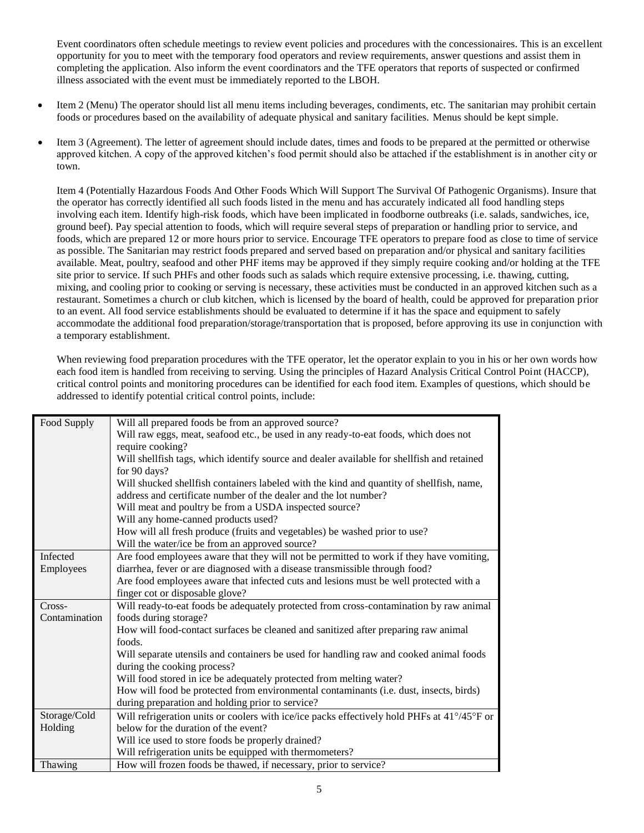Event coordinators often schedule meetings to review event policies and procedures with the concessionaires. This is an excellent opportunity for you to meet with the temporary food operators and review requirements, answer questions and assist them in completing the application. Also inform the event coordinators and the TFE operators that reports of suspected or confirmed illness associated with the event must be immediately reported to the LBOH.

- Item 2 (Menu) The operator should list all menu items including beverages, condiments, etc. The sanitarian may prohibit certain foods or procedures based on the availability of adequate physical and sanitary facilities. Menus should be kept simple.
- Item 3 (Agreement). The letter of agreement should include dates, times and foods to be prepared at the permitted or otherwise approved kitchen. A copy of the approved kitchen's food permit should also be attached if the establishment is in another city or town.

Item 4 (Potentially Hazardous Foods And Other Foods Which Will Support The Survival Of Pathogenic Organisms). Insure that the operator has correctly identified all such foods listed in the menu and has accurately indicated all food handling steps involving each item. Identify high-risk foods, which have been implicated in foodborne outbreaks (i.e. salads, sandwiches, ice, ground beef). Pay special attention to foods, which will require several steps of preparation or handling prior to service, and foods, which are prepared 12 or more hours prior to service. Encourage TFE operators to prepare food as close to time of service as possible. The Sanitarian may restrict foods prepared and served based on preparation and/or physical and sanitary facilities available. Meat, poultry, seafood and other PHF items may be approved if they simply require cooking and/or holding at the TFE site prior to service. If such PHFs and other foods such as salads which require extensive processing, i.e. thawing, cutting, mixing, and cooling prior to cooking or serving is necessary, these activities must be conducted in an approved kitchen such as a restaurant. Sometimes a church or club kitchen, which is licensed by the board of health, could be approved for preparation prior to an event. All food service establishments should be evaluated to determine if it has the space and equipment to safely accommodate the additional food preparation/storage/transportation that is proposed, before approving its use in conjunction with a temporary establishment.

When reviewing food preparation procedures with the TFE operator, let the operator explain to you in his or her own words how each food item is handled from receiving to serving. Using the principles of Hazard Analysis Critical Control Point (HACCP), critical control points and monitoring procedures can be identified for each food item. Examples of questions, which should be addressed to identify potential critical control points, include:

| Food Supply   | Will all prepared foods be from an approved source?                                         |
|---------------|---------------------------------------------------------------------------------------------|
|               | Will raw eggs, meat, seafood etc., be used in any ready-to-eat foods, which does not        |
|               | require cooking?                                                                            |
|               | Will shellfish tags, which identify source and dealer available for shellfish and retained  |
|               | for 90 days?                                                                                |
|               | Will shucked shellfish containers labeled with the kind and quantity of shellfish, name,    |
|               | address and certificate number of the dealer and the lot number?                            |
|               | Will meat and poultry be from a USDA inspected source?                                      |
|               | Will any home-canned products used?                                                         |
|               | How will all fresh produce (fruits and vegetables) be washed prior to use?                  |
|               | Will the water/ice be from an approved source?                                              |
| Infected      | Are food employees aware that they will not be permitted to work if they have vomiting,     |
| Employees     | diarrhea, fever or are diagnosed with a disease transmissible through food?                 |
|               | Are food employees aware that infected cuts and lesions must be well protected with a       |
|               | finger cot or disposable glove?                                                             |
| $Cross-$      | Will ready-to-eat foods be adequately protected from cross-contamination by raw animal      |
| Contamination | foods during storage?                                                                       |
|               | How will food-contact surfaces be cleaned and sanitized after preparing raw animal          |
|               | foods.                                                                                      |
|               | Will separate utensils and containers be used for handling raw and cooked animal foods      |
|               | during the cooking process?                                                                 |
|               | Will food stored in ice be adequately protected from melting water?                         |
|               | How will food be protected from environmental contaminants (i.e. dust, insects, birds)      |
|               | during preparation and holding prior to service?                                            |
| Storage/Cold  | Will refrigeration units or coolers with ice/ice packs effectively hold PHFs at 41°/45°F or |
| Holding       | below for the duration of the event?                                                        |
|               | Will ice used to store foods be properly drained?                                           |
|               | Will refrigeration units be equipped with thermometers?                                     |
| Thawing       | How will frozen foods be thawed, if necessary, prior to service?                            |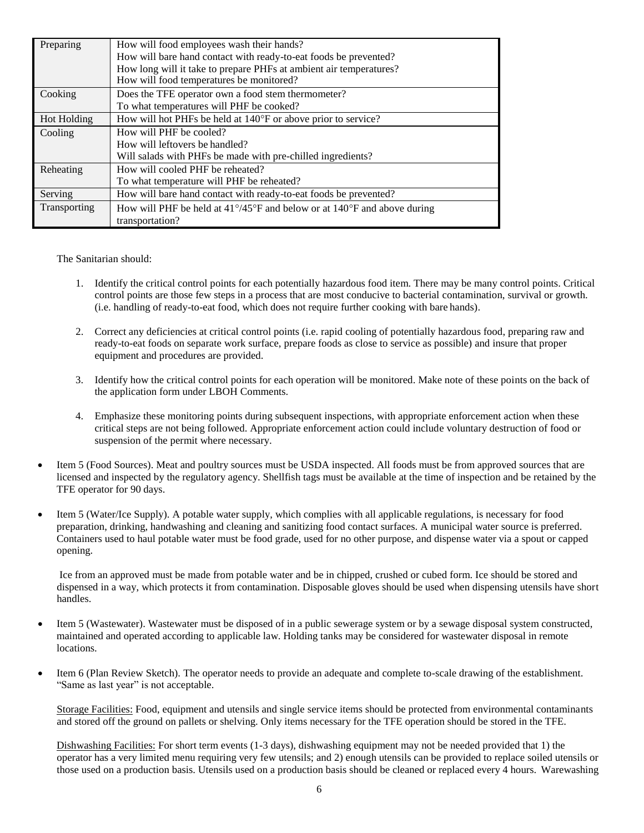| Preparing           | How will food employees wash their hands?                                                          |
|---------------------|----------------------------------------------------------------------------------------------------|
|                     | How will bare hand contact with ready-to-eat foods be prevented?                                   |
|                     | How long will it take to prepare PHFs at ambient air temperatures?                                 |
|                     | How will food temperatures be monitored?                                                           |
| Cooking             | Does the TFE operator own a food stem thermometer?                                                 |
|                     | To what temperatures will PHF be cooked?                                                           |
| <b>Hot Holding</b>  | How will hot PHFs be held at 140°F or above prior to service?                                      |
| Cooling             | How will PHF be cooled?                                                                            |
|                     | How will leftovers be handled?                                                                     |
|                     | Will salads with PHFs be made with pre-chilled ingredients?                                        |
| Reheating           | How will cooled PHF be reheated?                                                                   |
|                     | To what temperature will PHF be reheated?                                                          |
| Serving             | How will bare hand contact with ready-to-eat foods be prevented?                                   |
| <b>Transporting</b> | How will PHF be held at $41^{\circ}/45^{\circ}$ F and below or at $140^{\circ}$ F and above during |
|                     | transportation?                                                                                    |

The Sanitarian should:

- 1. Identify the critical control points for each potentially hazardous food item. There may be many control points. Critical control points are those few steps in a process that are most conducive to bacterial contamination, survival or growth. (i.e. handling of ready-to-eat food, which does not require further cooking with bare hands).
- 2. Correct any deficiencies at critical control points (i.e. rapid cooling of potentially hazardous food, preparing raw and ready-to-eat foods on separate work surface, prepare foods as close to service as possible) and insure that proper equipment and procedures are provided.
- 3. Identify how the critical control points for each operation will be monitored. Make note of these points on the back of the application form under LBOH Comments.
- 4. Emphasize these monitoring points during subsequent inspections, with appropriate enforcement action when these critical steps are not being followed. Appropriate enforcement action could include voluntary destruction of food or suspension of the permit where necessary.
- Item 5 (Food Sources). Meat and poultry sources must be USDA inspected. All foods must be from approved sources that are licensed and inspected by the regulatory agency. Shellfish tags must be available at the time of inspection and be retained by the TFE operator for 90 days.
- Item 5 (Water/Ice Supply). A potable water supply, which complies with all applicable regulations, is necessary for food preparation, drinking, handwashing and cleaning and sanitizing food contact surfaces. A municipal water source is preferred. Containers used to haul potable water must be food grade, used for no other purpose, and dispense water via a spout or capped opening.

Ice from an approved must be made from potable water and be in chipped, crushed or cubed form. Ice should be stored and dispensed in a way, which protects it from contamination. Disposable gloves should be used when dispensing utensils have short handles.

- Item 5 (Wastewater). Wastewater must be disposed of in a public sewerage system or by a sewage disposal system constructed, maintained and operated according to applicable law. Holding tanks may be considered for wastewater disposal in remote locations.
- Item 6 (Plan Review Sketch). The operator needs to provide an adequate and complete to-scale drawing of the establishment. "Same as last year" is not acceptable.

Storage Facilities: Food, equipment and utensils and single service items should be protected from environmental contaminants and stored off the ground on pallets or shelving. Only items necessary for the TFE operation should be stored in the TFE.

Dishwashing Facilities: For short term events (1-3 days), dishwashing equipment may not be needed provided that 1) the operator has a very limited menu requiring very few utensils; and 2) enough utensils can be provided to replace soiled utensils or those used on a production basis. Utensils used on a production basis should be cleaned or replaced every 4 hours. Warewashing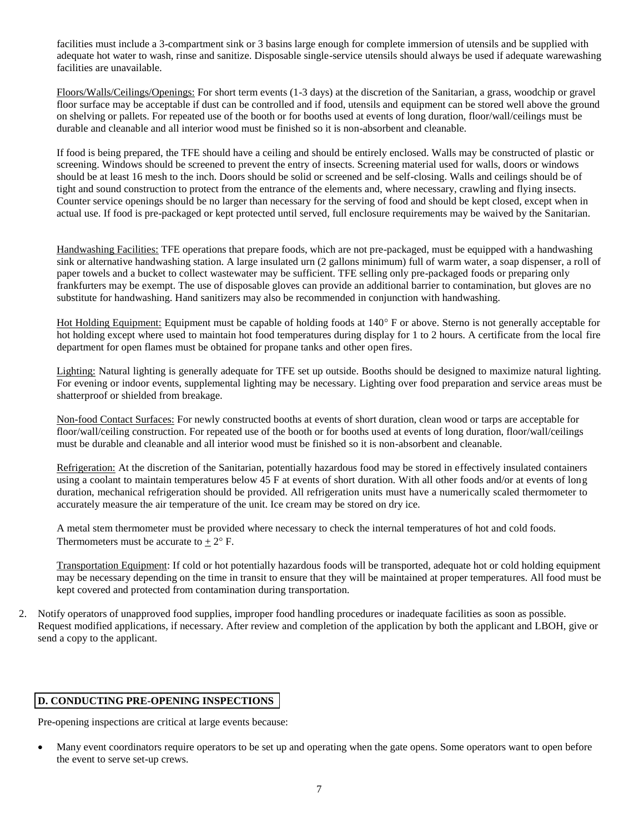facilities must include a 3-compartment sink or 3 basins large enough for complete immersion of utensils and be supplied with adequate hot water to wash, rinse and sanitize. Disposable single-service utensils should always be used if adequate warewashing facilities are unavailable.

Floors/Walls/Ceilings/Openings: For short term events (1-3 days) at the discretion of the Sanitarian, a grass, woodchip or gravel floor surface may be acceptable if dust can be controlled and if food, utensils and equipment can be stored well above the ground on shelving or pallets. For repeated use of the booth or for booths used at events of long duration, floor/wall/ceilings must be durable and cleanable and all interior wood must be finished so it is non-absorbent and cleanable.

If food is being prepared, the TFE should have a ceiling and should be entirely enclosed. Walls may be constructed of plastic or screening. Windows should be screened to prevent the entry of insects. Screening material used for walls, doors or windows should be at least 16 mesh to the inch. Doors should be solid or screened and be self-closing. Walls and ceilings should be of tight and sound construction to protect from the entrance of the elements and, where necessary, crawling and flying insects. Counter service openings should be no larger than necessary for the serving of food and should be kept closed, except when in actual use. If food is pre-packaged or kept protected until served, full enclosure requirements may be waived by the Sanitarian.

Handwashing Facilities: TFE operations that prepare foods, which are not pre-packaged, must be equipped with a handwashing sink or alternative handwashing station. A large insulated urn (2 gallons minimum) full of warm water, a soap dispenser, a roll of paper towels and a bucket to collect wastewater may be sufficient. TFE selling only pre-packaged foods or preparing only frankfurters may be exempt. The use of disposable gloves can provide an additional barrier to contamination, but gloves are no substitute for handwashing. Hand sanitizers may also be recommended in conjunction with handwashing.

Hot Holding Equipment: Equipment must be capable of holding foods at 140° F or above. Sterno is not generally acceptable for hot holding except where used to maintain hot food temperatures during display for 1 to 2 hours. A certificate from the local fire department for open flames must be obtained for propane tanks and other open fires.

Lighting: Natural lighting is generally adequate for TFE set up outside. Booths should be designed to maximize natural lighting. For evening or indoor events, supplemental lighting may be necessary. Lighting over food preparation and service areas must be shatterproof or shielded from breakage.

Non-food Contact Surfaces: For newly constructed booths at events of short duration, clean wood or tarps are acceptable for floor/wall/ceiling construction. For repeated use of the booth or for booths used at events of long duration, floor/wall/ceilings must be durable and cleanable and all interior wood must be finished so it is non-absorbent and cleanable.

Refrigeration: At the discretion of the Sanitarian, potentially hazardous food may be stored in effectively insulated containers using a coolant to maintain temperatures below 45 F at events of short duration. With all other foods and/or at events of long duration, mechanical refrigeration should be provided. All refrigeration units must have a numerically scaled thermometer to accurately measure the air temperature of the unit. Ice cream may be stored on dry ice.

A metal stem thermometer must be provided where necessary to check the internal temperatures of hot and cold foods. Thermometers must be accurate to  $+ 2^{\circ}$  F.

Transportation Equipment: If cold or hot potentially hazardous foods will be transported, adequate hot or cold holding equipment may be necessary depending on the time in transit to ensure that they will be maintained at proper temperatures. All food must be kept covered and protected from contamination during transportation.

2. Notify operators of unapproved food supplies, improper food handling procedures or inadequate facilities as soon as possible. Request modified applications, if necessary. After review and completion of the application by both the applicant and LBOH, give or send a copy to the applicant.

## **D. CONDUCTING PRE-OPENING INSPECTIONS**

Pre-opening inspections are critical at large events because:

 Many event coordinators require operators to be set up and operating when the gate opens. Some operators want to open before the event to serve set-up crews.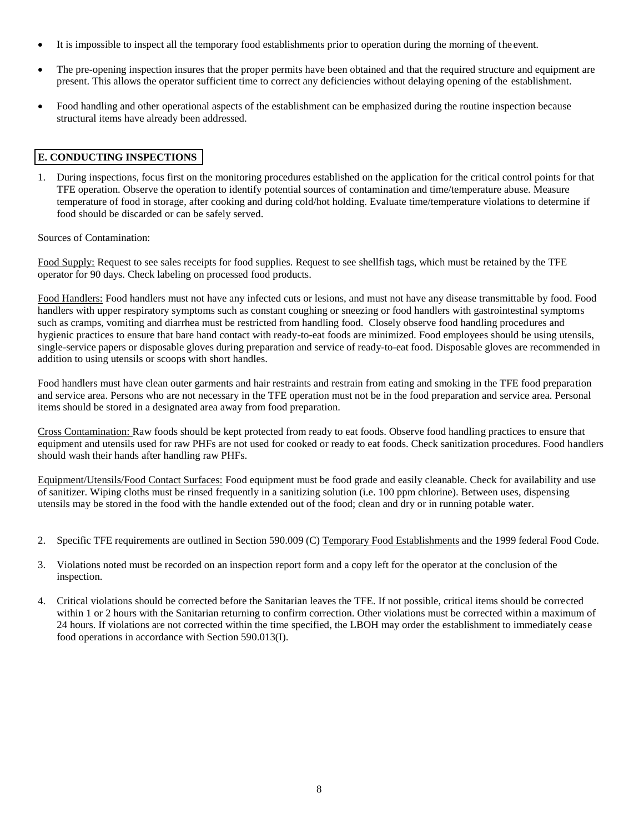- It is impossible to inspect all the temporary food establishments prior to operation during the morning of the event.
- The pre-opening inspection insures that the proper permits have been obtained and that the required structure and equipment are present. This allows the operator sufficient time to correct any deficiencies without delaying opening of the establishment.
- Food handling and other operational aspects of the establishment can be emphasized during the routine inspection because structural items have already been addressed.

## **E. CONDUCTING INSPECTIONS**

1. During inspections, focus first on the monitoring procedures established on the application for the critical control points for that TFE operation. Observe the operation to identify potential sources of contamination and time/temperature abuse. Measure temperature of food in storage, after cooking and during cold/hot holding. Evaluate time/temperature violations to determine if food should be discarded or can be safely served.

Sources of Contamination:

Food Supply: Request to see sales receipts for food supplies. Request to see shellfish tags, which must be retained by the TFE operator for 90 days. Check labeling on processed food products.

Food Handlers: Food handlers must not have any infected cuts or lesions, and must not have any disease transmittable by food. Food handlers with upper respiratory symptoms such as constant coughing or sneezing or food handlers with gastrointestinal symptoms such as cramps, vomiting and diarrhea must be restricted from handling food. Closely observe food handling procedures and hygienic practices to ensure that bare hand contact with ready-to-eat foods are minimized. Food employees should be using utensils, single-service papers or disposable gloves during preparation and service of ready-to-eat food. Disposable gloves are recommended in addition to using utensils or scoops with short handles.

Food handlers must have clean outer garments and hair restraints and restrain from eating and smoking in the TFE food preparation and service area. Persons who are not necessary in the TFE operation must not be in the food preparation and service area. Personal items should be stored in a designated area away from food preparation.

Cross Contamination: Raw foods should be kept protected from ready to eat foods. Observe food handling practices to ensure that equipment and utensils used for raw PHFs are not used for cooked or ready to eat foods. Check sanitization procedures. Food handlers should wash their hands after handling raw PHFs.

Equipment/Utensils/Food Contact Surfaces: Food equipment must be food grade and easily cleanable. Check for availability and use of sanitizer. Wiping cloths must be rinsed frequently in a sanitizing solution (i.e. 100 ppm chlorine). Between uses, dispensing utensils may be stored in the food with the handle extended out of the food; clean and dry or in running potable water.

- 2. Specific TFE requirements are outlined in Section 590.009 (C) Temporary Food Establishments and the 1999 federal Food Code.
- 3. Violations noted must be recorded on an inspection report form and a copy left for the operator at the conclusion of the inspection.
- 4. Critical violations should be corrected before the Sanitarian leaves the TFE. If not possible, critical items should be corrected within 1 or 2 hours with the Sanitarian returning to confirm correction. Other violations must be corrected within a maximum of 24 hours. If violations are not corrected within the time specified, the LBOH may order the establishment to immediately cease food operations in accordance with Section 590.013(I).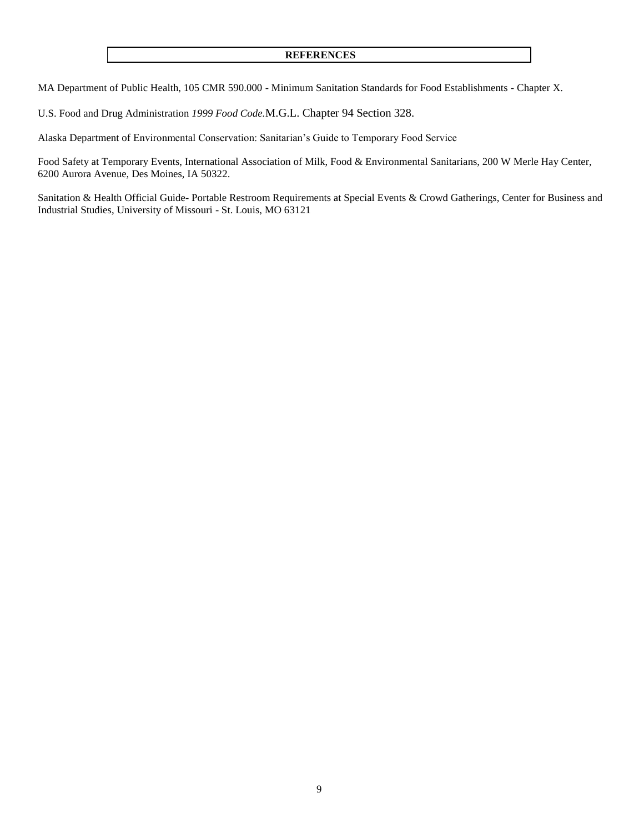#### **REFERENCES**

MA Department of Public Health, 105 CMR 590.000 - Minimum Sanitation Standards for Food Establishments - Chapter X.

U.S. Food and Drug Administration *1999 Food Code.*M.G.L. Chapter 94 Section 328.

Alaska Department of Environmental Conservation: Sanitarian's Guide to Temporary Food Service

Food Safety at Temporary Events, International Association of Milk, Food & Environmental Sanitarians, 200 W Merle Hay Center, 6200 Aurora Avenue, Des Moines, IA 50322.

Sanitation & Health Official Guide- Portable Restroom Requirements at Special Events & Crowd Gatherings, Center for Business and Industrial Studies, University of Missouri - St. Louis, MO 63121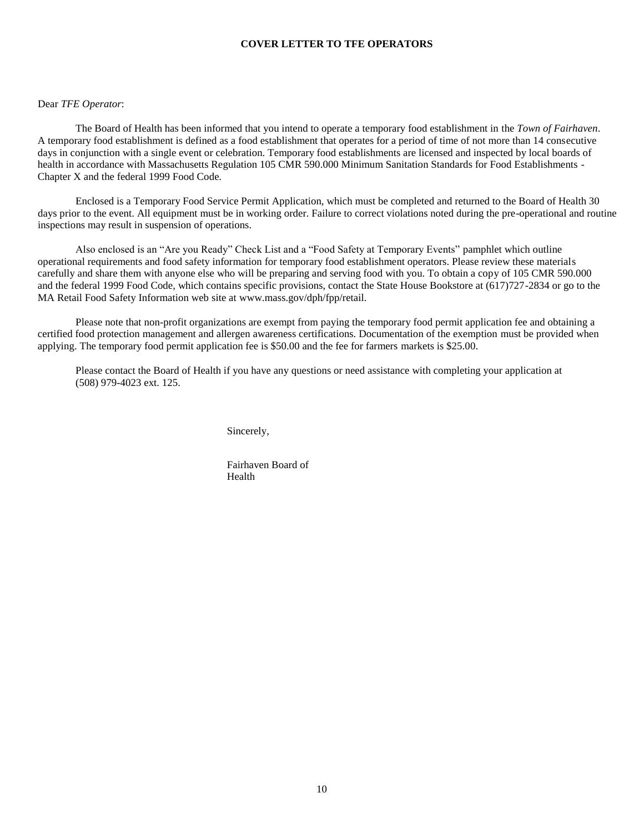## **COVER LETTER TO TFE OPERATORS**

## Dear *TFE Operator*:

The Board of Health has been informed that you intend to operate a temporary food establishment in the *Town of Fairhaven*. A temporary food establishment is defined as a food establishment that operates for a period of time of not more than 14 consecutive days in conjunction with a single event or celebration. Temporary food establishments are licensed and inspected by local boards of health in accordance with Massachusetts Regulation 105 CMR 590.000 Minimum Sanitation Standards for Food Establishments - Chapter X and the federal 1999 Food Code.

Enclosed is a Temporary Food Service Permit Application, which must be completed and returned to the Board of Health 30 days prior to the event. All equipment must be in working order. Failure to correct violations noted during the pre-operational and routine inspections may result in suspension of operations.

Also enclosed is an "Are you Ready" Check List and a "Food Safety at Temporary Events" pamphlet which outline operational requirements and food safety information for temporary food establishment operators. Please review these materials carefully and share them with anyone else who will be preparing and serving food with you. To obtain a copy of 105 CMR 590.000 and the federal 1999 Food Code, which contains specific provisions, contact the State House Bookstore at (617)727-2834 or go to the MA Retail Food Safety Information web site at [www.mass.gov/dph/fpp/retail.](http://www.mass.gov/dph/fpp/retail)

Please note that non-profit organizations are exempt from paying the temporary food permit application fee and obtaining a certified food protection management and allergen awareness certifications. Documentation of the exemption must be provided when applying. The temporary food permit application fee is \$50.00 and the fee for farmers markets is \$25.00.

Please contact the Board of Health if you have any questions or need assistance with completing your application at (508) 979-4023 ext. 125.

Sincerely,

Fairhaven Board of Health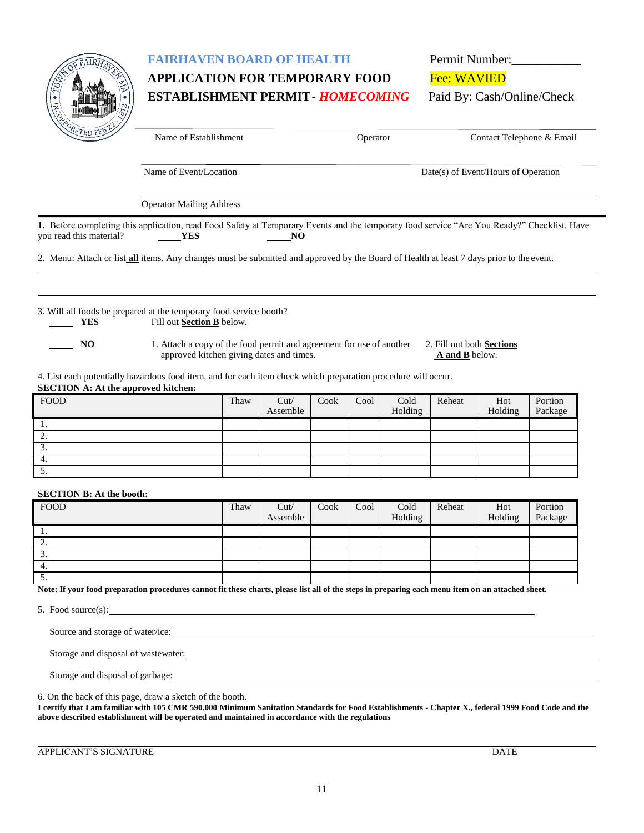

## **FAIRHAVEN BOARD OF HEALTH Permit Number:**

## **APPLICATION FOR TEMPORARY FOOD Fee: WAVIED ESTABLISHMENT PERMIT-** *HOMECOMING* Paid By: Cash/Online/Check

| ORATED FEB 2            | Name of Establishment                                                                                                                       | Operator | Contact Telephone & Email           |
|-------------------------|---------------------------------------------------------------------------------------------------------------------------------------------|----------|-------------------------------------|
|                         | Name of Event/Location                                                                                                                      |          | Date(s) of Event/Hours of Operation |
|                         | <b>Operator Mailing Address</b>                                                                                                             |          |                                     |
|                         | 1. Before completing this application, read Food Safety at Temporary Events and the temporary food service "Are You Ready?" Checklist. Have |          |                                     |
|                         |                                                                                                                                             |          |                                     |
|                         | <b>YES</b><br>NO.                                                                                                                           |          |                                     |
| you read this material? | 2. Menu: Attach or list all items. Any changes must be submitted and approved by the Board of Health at least 7 days prior to the event.    |          |                                     |
|                         |                                                                                                                                             |          |                                     |
| YES                     | 3. Will all foods be prepared at the temporary food service booth?<br>Fill out Section B below.                                             |          |                                     |

approved kitchen giving dates and times. **A and B** below.

4. List each potentially hazardous food item, and for each item check which preparation procedure will occur.

#### **SECTION A: At the approved kitchen:**

| FOOD     | Thaw | Cut/<br>Assemble | Cook | Cool | Cold<br>Holding | Reheat | Hot<br>Holding | Portion<br>Package |
|----------|------|------------------|------|------|-----------------|--------|----------------|--------------------|
| . .      |      |                  |      |      |                 |        |                |                    |
| <u>.</u> |      |                  |      |      |                 |        |                |                    |
| J.       |      |                  |      |      |                 |        |                |                    |
| 4.       |      |                  |      |      |                 |        |                |                    |
| <u>.</u> |      |                  |      |      |                 |        |                |                    |

#### **SECTION B: At the booth:**

| <b>FOOD</b> | Thaw | Cut/<br>Assemble | Cook | Cool | Cold<br>Holding | Reheat | Hot<br>Holding | Portion<br>Package |
|-------------|------|------------------|------|------|-----------------|--------|----------------|--------------------|
| . .         |      |                  |      |      |                 |        |                |                    |
| <b>L.</b>   |      |                  |      |      |                 |        |                |                    |
| J.          |      |                  |      |      |                 |        |                |                    |
| 4.          |      |                  |      |      |                 |        |                |                    |
| J.          |      |                  |      |      |                 |        |                |                    |

**Note: If your food preparation procedures cannot fit these charts, please list all of the steps in preparing each menu item on an attached sheet.**

5. Food source(s):

Source and storage of water/ice:

Storage and disposal of wastewater:

Storage and disposal of garbage:

6. On the back of this page, draw a sketch of the booth.

**I certify that I am familiar with 105 CMR 590.000 Minimum Sanitation Standards for Food Establishments - Chapter X., federal 1999 Food Code and the above described establishment will be operated and maintained in accordance with the regulations**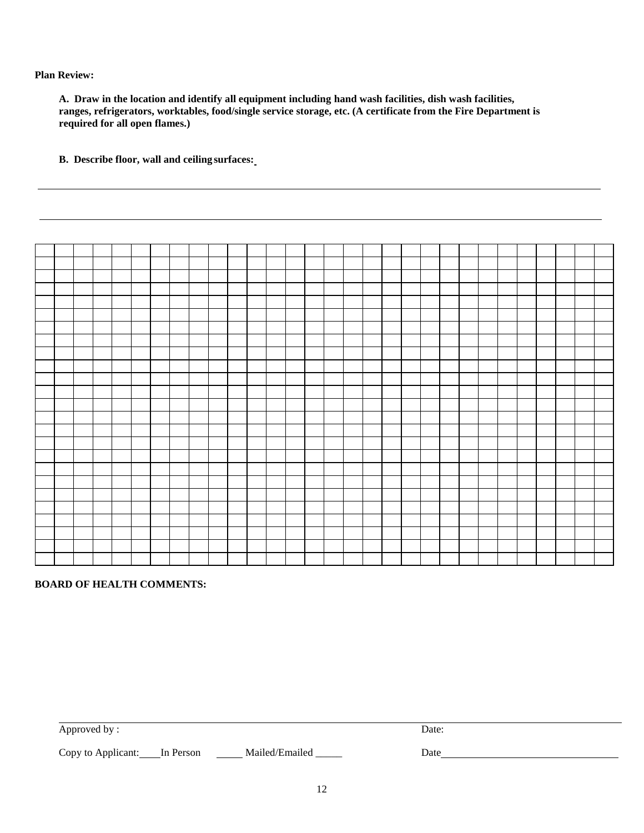**Plan Review:**

**A. Draw in the location and identify all equipment including hand wash facilities, dish wash facilities, ranges, refrigerators, worktables, food/single service storage, etc. (A certificate from the Fire Department is required for all open flames.)**

**B. Describe floor, wall and ceiling surfaces:**

## **BOARD OF HEALTH COMMENTS:**

| Approved by: | Date: |
|--------------|-------|
|--------------|-------|

Copy to Applicant: In Person \_\_\_\_\_ Mailed/Emailed \_\_\_\_\_ Date\_\_\_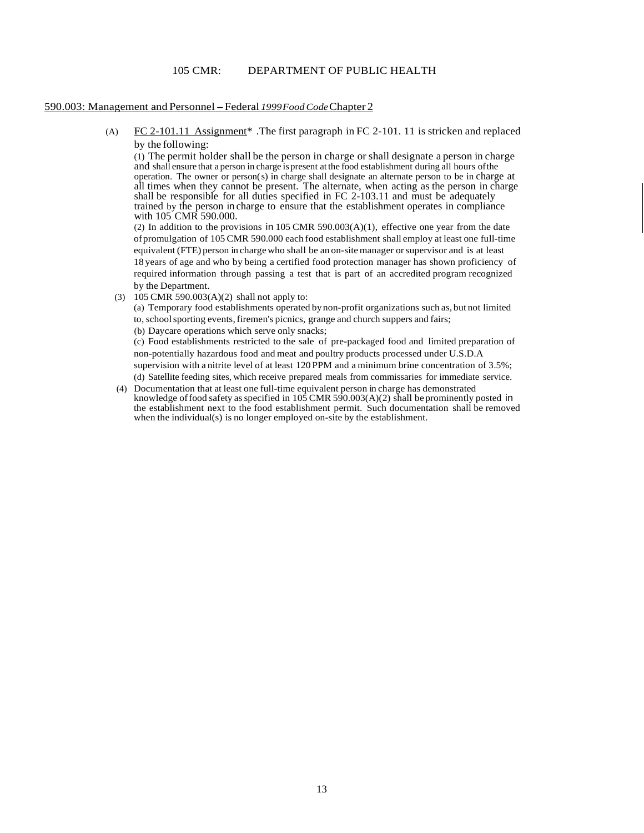## 105 CMR: DEPARTMENT OF PUBLIC HEALTH

#### 590.003: Management and Personnel-Federal *1999FoodCode*Chapter <sup>2</sup>

(A) FC 2-101.11 Assignment\* .The first paragraph in FC 2-101. 11 is stricken and replaced by the following:

(1) The permit holder shall be the person in charge or shall designate a person in charge and shall ensure that a person in charge ispresent at the food establishment during all hours ofthe operation. The owner or person(s) in charge shall designate an alternate person to be in charge at all times when they cannot be present. The alternate, when acting as the person in charge shall be responsible for all duties specified in FC  $2-103.11$  and must be adequately trained by the person in charge to ensure that the establishment operates in compliance with 105 CMR 590.000.

(2) In addition to the provisions in 105 CMR 590.003(A)(1), effective one year from the date ofpromulgation of 105 CMR 590.000 each food establishment shall employ at least one full-time equivalent (FTE) person in chargewho shall be an on-sitemanager orsupervisor and is at least 18 years of age and who by being a certified food protection manager has shown proficiency of required information through passing a test that is part of an accredited program recognized by the Department.

(3) 105 CMR 590.003(A)(2) shall not apply to:

(a) Temporary food establishments operated by non-profit organizations such as, but not limited to, school sporting events, firemen's picnics, grange and church suppers and fairs;

(b) Daycare operations which serve only snacks;

(c) Food establishments restricted to the sale of pre-packaged food and limited preparation of non-potentially hazardous food and meat and poultry products processed under U.S.D.A supervision with a nitrite level of at least 120 PPM and a minimum brine concentration of 3.5%;

(d) Satellite feeding sites, which receive prepared meals from commissaries for immediate service.

(4) Documentation that at least one full-time equivalent person in charge has demonstrated knowledge of food safety as specified in  $10\overline{5}$  CMR  $5\overline{9}0.003(A)(2)$  shall be prominently posted in the establishment next to the food establishment permit. Such documentation shall be removed when the individual(s) is no longer employed on-site by the establishment.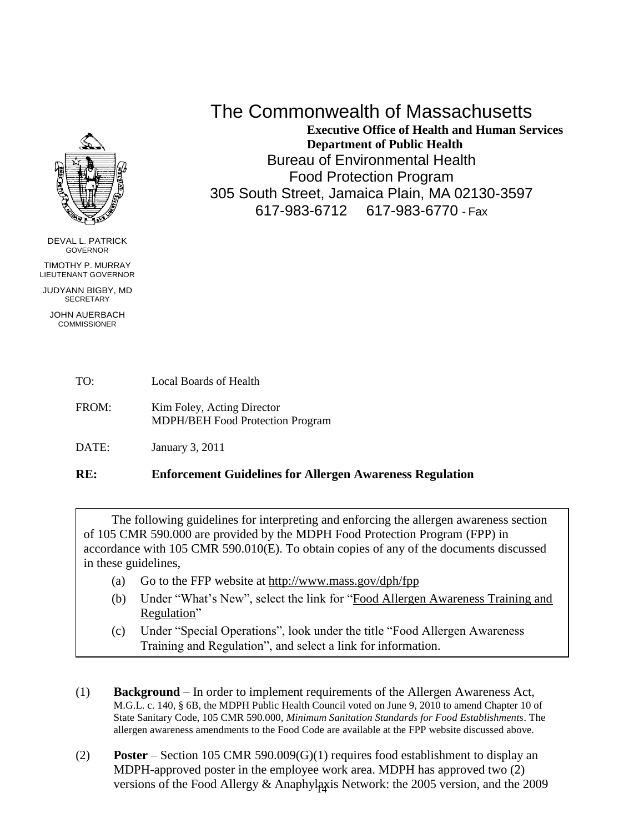

DEVAL L. PATRICK GOVERNOR

TIMOTHY P. MURRAY LIEUTENANT GOVERNOR

JUDYANN BIGBY, MD **SECRETARY** 

JOHN AUERBACH **COMMISSIONER** 

## The Commonwealth of Massachusetts

**Executive Office of Health and Human Services Department of Public Health** Bureau of Environmental Health Food Protection Program 305 South Street, Jamaica Plain, MA 02130-3597 617-983-6712 617-983-6770 - Fax

- TO: Local Boards of Health
- FROM: Kim Foley, Acting Director MDPH/BEH Food Protection Program

DATE: January 3, 2011

## **RE: Enforcement Guidelines for Allergen Awareness Regulation**

The following guidelines for interpreting and enforcing the allergen awareness section of 105 CMR 590.000 are provided by the MDPH Food Protection Program (FPP) in accordance with 105 CMR 590.010(E). To obtain copies of any of the documents discussed in these guidelines,

- (a) Go to the FFP website at  $\frac{http://www.mass.gov/dph/fpp}{http://www.mass.gov/dph/fpp}$  $\frac{http://www.mass.gov/dph/fpp}{http://www.mass.gov/dph/fpp}$  $\frac{http://www.mass.gov/dph/fpp}{http://www.mass.gov/dph/fpp}$
- (b) Under "What's New", select the link for "Food Allergen Awareness Training and Regulation"
- (c) Under "Special Operations", look under the title "Food Allergen Awareness Training and Regulation", and select a link for information.
- (1) **Background**  In order to implement requirements of the Allergen Awareness Act, M.G.L. c. 140, § 6B, the MDPH Public Health Council voted on June 9, 2010 to amend Chapter 10 of State Sanitary Code, 105 CMR 590.000, *Minimum Sanitation Standards for Food Establishments*. The allergen awareness amendments to the Food Code are available at the FPP website discussed above.
- versions of the Food Allergy & Anaphylaxis Network: the 2005 version, and the 2009 (2) **Poster** – Section 105 CMR 590.009(G)(1) requires food establishment to display an MDPH-approved poster in the employee work area. MDPH has approved two (2)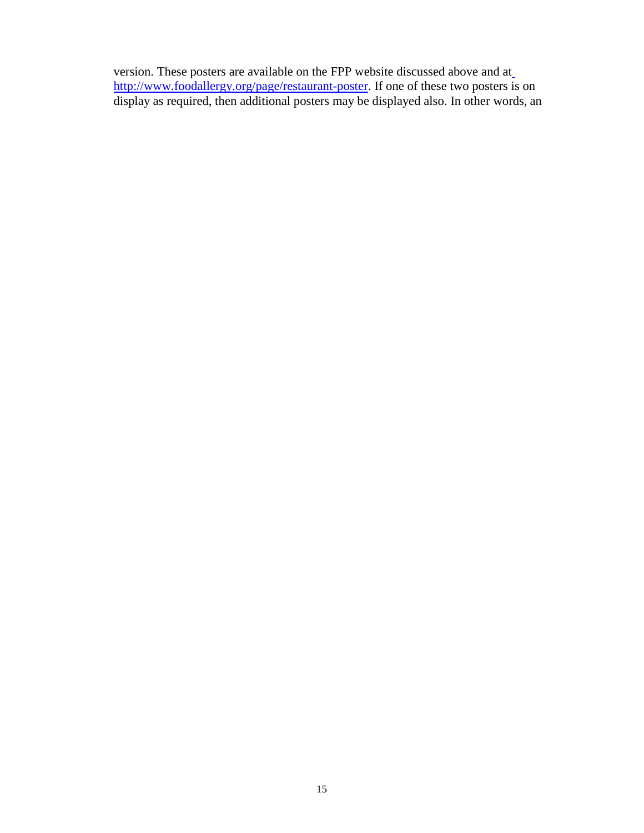version. These posters are available on the FPP website discussed above and at [http://www.foodallergy.org/page/restaurant-poster.](http://www.foodallergy.org/page/restaurant-poster) If one of these two posters is on display as required, then additional posters may be displayed also. In other words, an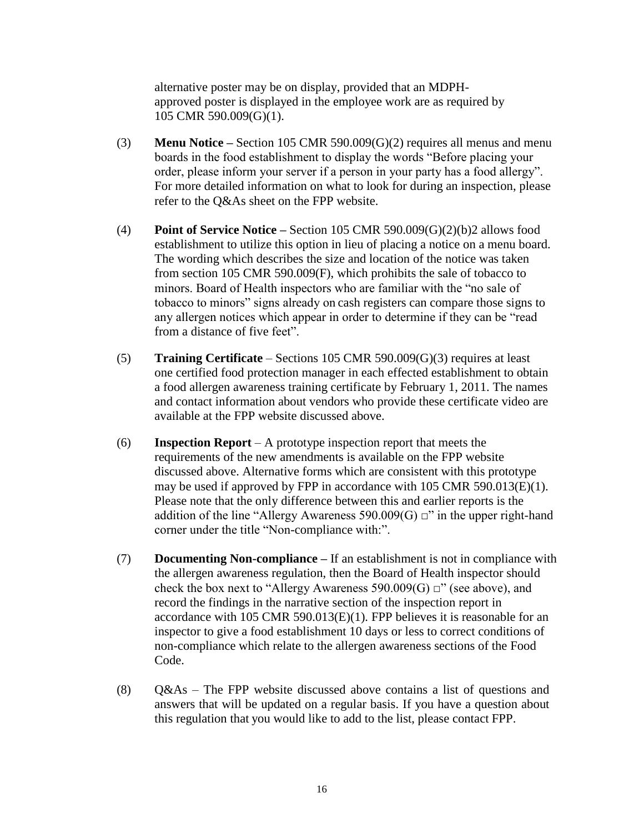alternative poster may be on display, provided that an MDPHapproved poster is displayed in the employee work are as required by 105 CMR 590.009(G)(1).

- (3) **Menu Notice –** Section 105 CMR 590.009(G)(2) requires all menus and menu boards in the food establishment to display the words "Before placing your order, please inform your server if a person in your party has a food allergy". For more detailed information on what to look for during an inspection, please refer to the Q&As sheet on the FPP website.
- (4) **Point of Service Notice –** Section 105 CMR 590.009(G)(2)(b)2 allows food establishment to utilize this option in lieu of placing a notice on a menu board. The wording which describes the size and location of the notice was taken from section 105 CMR 590.009(F), which prohibits the sale of tobacco to minors. Board of Health inspectors who are familiar with the "no sale of tobacco to minors" signs already on cash registers can compare those signs to any allergen notices which appear in order to determine if they can be "read from a distance of five feet".
- (5) **Training Certificate**  Sections 105 CMR 590.009(G)(3) requires at least one certified food protection manager in each effected establishment to obtain a food allergen awareness training certificate by February 1, 2011. The names and contact information about vendors who provide these certificate video are available at the FPP website discussed above.
- (6) **Inspection Report**  A prototype inspection report that meets the requirements of the new amendments is available on the FPP website discussed above. Alternative forms which are consistent with this prototype may be used if approved by FPP in accordance with 105 CMR 590.013(E)(1). Please note that the only difference between this and earlier reports is the addition of the line "Allergy Awareness 590.009(G)  $\Box$ " in the upper right-hand corner under the title "Non-compliance with:".
- (7) **Documenting Non-compliance –** If an establishment is not in compliance with the allergen awareness regulation, then the Board of Health inspector should check the box next to "Allergy Awareness 590.009(G)  $\Box$ " (see above), and record the findings in the narrative section of the inspection report in accordance with 105 CMR 590.013(E)(1). FPP believes it is reasonable for an inspector to give a food establishment 10 days or less to correct conditions of non-compliance which relate to the allergen awareness sections of the Food Code.
- (8)  $Q\&As$  The FPP website discussed above contains a list of questions and answers that will be updated on a regular basis. If you have a question about this regulation that you would like to add to the list, please contact FPP.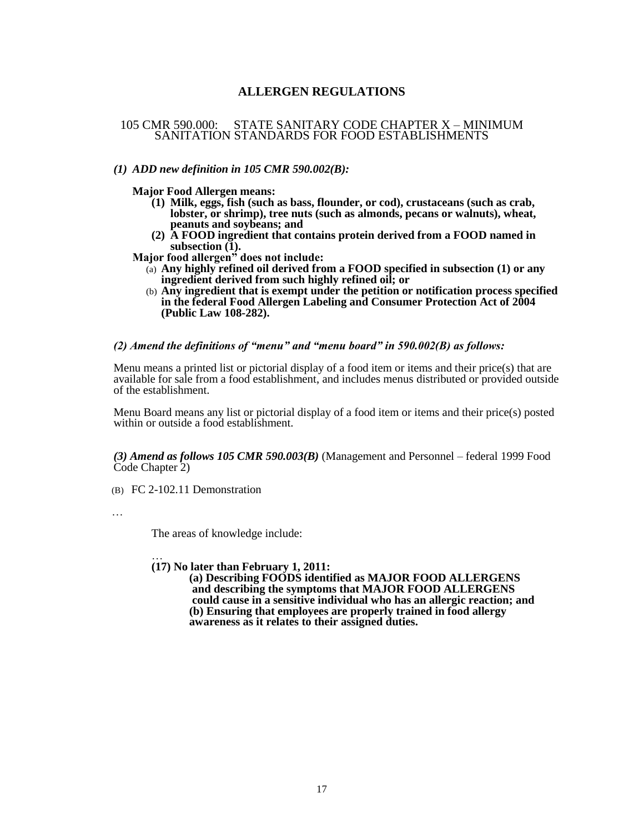## **ALLERGEN REGULATIONS**

## 105 CMR 590.000: STATE SANITARY CODE CHAPTER X – MINIMUM SANITATION STANDARDS FOR FOOD ESTABLISHMENTS

## *(1) ADD new definition in 105 CMR 590.002(B):*

**Major Food Allergen means:**

- **(1) Milk, eggs, fish (such as bass, flounder, or cod), crustaceans (such as crab, lobster, or shrimp), tree nuts (such as almonds, pecans or walnuts), wheat, peanuts and soybeans; and**
- **(2) A FOOD ingredient that contains protein derived from a FOOD named in subsection (1).**

**Major food allergen" does not include:**

- (a) **Any highly refined oil derived from a FOOD specified in subsection (1) or any ingredient derived from such highly refined oil; or**
- (b) **Any ingredient that is exempt under the petition or notification process specified in the federal Food Allergen Labeling and Consumer Protection Act of 2004 (Public Law 108-282).**

#### *(2) Amend the definitions of "menu" and "menu board" in 590.002(B) as follows:*

Menu means a printed list or pictorial display of a food item or items and their price(s) that are available for sale from a food establishment, and includes menus distributed or provided outside of the establishment.

Menu Board means any list or pictorial display of a food item or items and their price(s) posted within or outside a food establishment.

*(3) Amend as follows 105 CMR 590.003(B)* (Management and Personnel – federal 1999 Food Code Chapter<sup>2</sup>)

(B) FC 2-102.11 Demonstration

…

The areas of knowledge include:

… **(17) No later than February 1, 2011:**

**(a) Describing FOODS identified as MAJOR FOOD ALLERGENS and describing the symptoms that MAJOR FOOD ALLERGENS could cause in a sensitive individual who has an allergic reaction; and (b) Ensuring that employees are properly trained in food allergy awareness as it relates to their assigned duties.**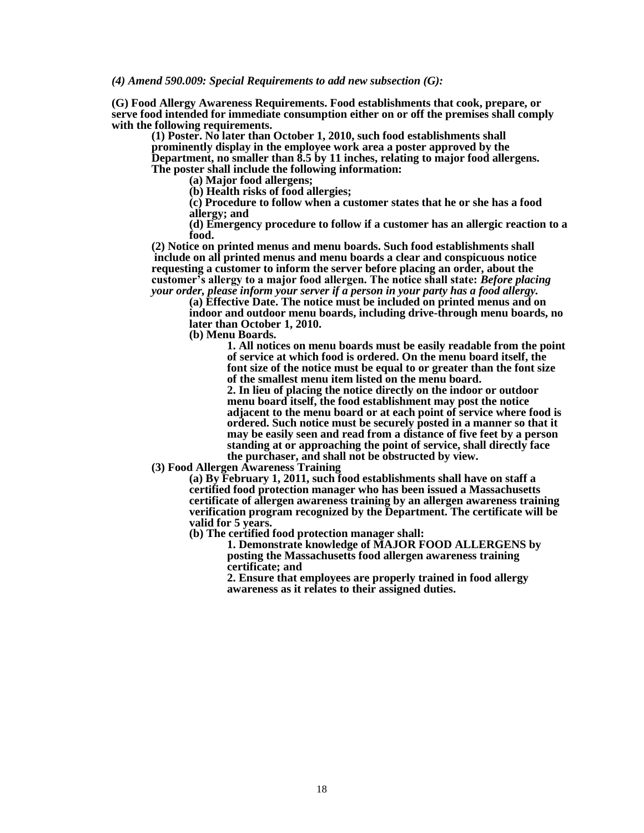*(4) Amend 590.009: Special Requirements to add new subsection (G):*

**(G) Food Allergy Awareness Requirements. Food establishments that cook, prepare, or serve food intended for immediate consumption either on or off the premises shall comply with the following requirements.**

**(1) Poster. No later than October 1, 2010, such food establishments shall prominently display in the employee work area a poster approved by the Department, no smaller than 8.5 by 11 inches, relating to major food allergens. The poster shall include the following information:**

**(a) Major food allergens;**

**(b) Health risks of food allergies;**

**(c) Procedure to follow when a customer states that he or she has a food allergy; and**

**(d) Emergency procedure to follow if a customer has an allergic reaction to a food.**

**(2) Notice on printed menus and menu boards. Such food establishments shall include on all printed menus and menu boards a clear and conspicuous notice requesting a customer to inform the server before placing an order, about the customer's allergy to a major food allergen. The notice shall state:** *Before placing your order, please inform your server if a person in your party has a food allergy.*

**(a) Effective Date. The notice must be included on printed menus and on indoor and outdoor menu boards, including drive-through menu boards, no later than October 1, 2010.**

**(b) Menu Boards.**

**1. All notices on menu boards must be easily readable from the point of service at which food is ordered. On the menu board itself, the font size of the notice must be equal to or greater than the font size of the smallest menu item listed on the menu board.**

**2. In lieu of placing the notice directly on the indoor or outdoor menu board itself, the food establishment may post the notice adjacent to the menu board or at each point of service where food is ordered. Such notice must be securely posted in a manner so that it may be easily seen and read from a distance of five feet by a person standing at or approaching the point of service, shall directly face the purchaser, and shall not be obstructed by view.**

**(3) Food Allergen Awareness Training**

**(a) By February 1, 2011, such food establishments shall have on staff a certified food protection manager who has been issued a Massachusetts certificate of allergen awareness training by an allergen awareness training verification program recognized by the Department. The certificate will be valid for 5 years.**

**(b) The certified food protection manager shall:**

**1. Demonstrate knowledge of MAJOR FOOD ALLERGENS by posting the Massachusetts food allergen awareness training certificate; and**

**2. Ensure that employees are properly trained in food allergy awareness as it relates to their assigned duties.**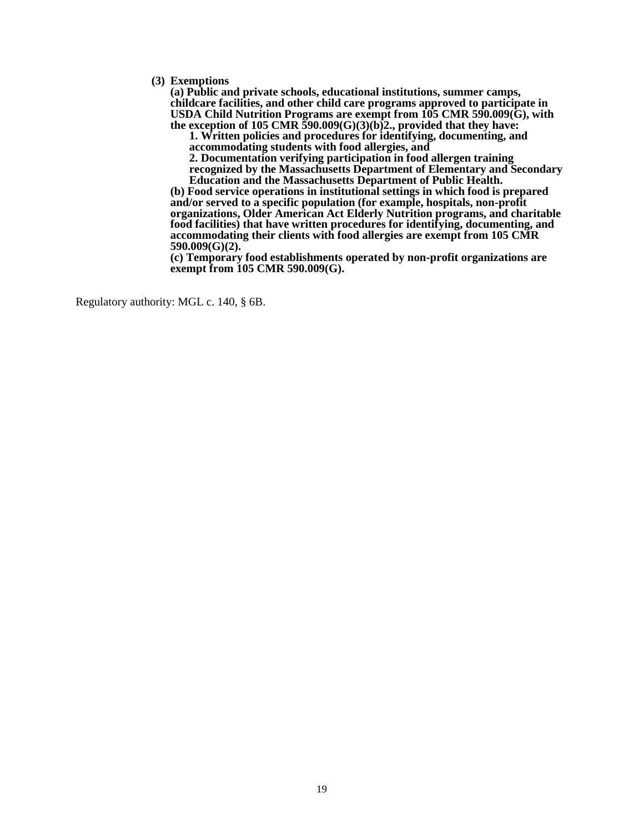**(3) Exemptions**

**(a) Public and private schools, educational institutions, summer camps, childcare facilities, and other child care programs approved to participate in USDA Child Nutrition Programs are exempt from 105 CMR 590.009(G), with the exception of 105 CMR 590.009(G)(3)(b)2., provided that they have:**

**1. Written policies and procedures for identifying, documenting, and accommodating students with food allergies, and**

**2. Documentation verifying participation in food allergen training recognized by the Massachusetts Department of Elementary and Secondary Education and the Massachusetts Department of Public Health.**

**(b) Food service operations in institutional settings in which food is prepared and/or served to a specific population (for example, hospitals, non-profit organizations, Older American Act Elderly Nutrition programs, and charitable food facilities) that have written procedures for identifying, documenting, and accommodating their clients with food allergies are exempt from 105 CMR 590.009(G)(2).**

**(c) Temporary food establishments operated by non-profit organizations are exempt from 105 CMR 590.009(G).**

Regulatory authority: MGL c. 140, § 6B.